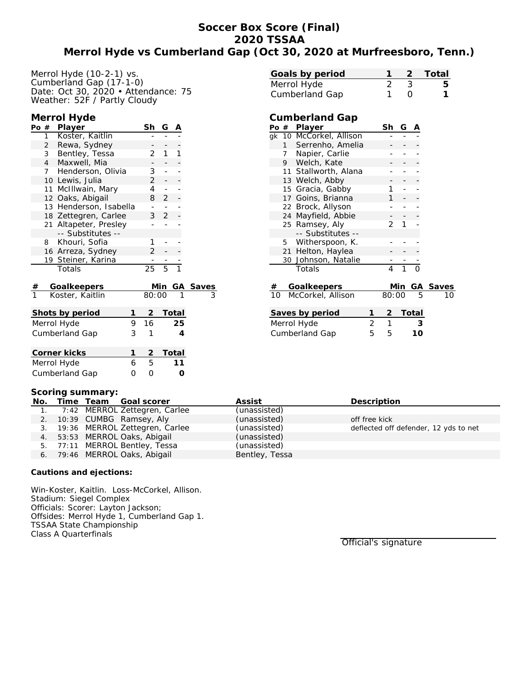# **Soccer Box Score (Final) 2020 TSSAA Merrol Hyde vs Cumberland Gap (Oct 30, 2020 at Murfreesboro, Tenn.)**

| Merrol Hyde (10-2-1) vs.            |  |
|-------------------------------------|--|
| Cumberland Gap (17-1-0)             |  |
| Date: Oct 30, 2020 • Attendance: 75 |  |
| Weather: 52F / Partly Cloudy        |  |

## **Merrol Hyde**

| Player<br>$1 \quad$<br>Koster, Kaitlin<br>$\overline{2}$<br>Rewa, Sydney<br>1<br>1<br>Bentley, Tessa<br>2<br>3<br>4 <sup>1</sup><br>Maxwell, Mia<br>Henderson, Olivia<br>3<br>7<br>$\overline{\phantom{0}}$<br>$\overline{2}$<br>10 Lewis, Julia<br>-<br>$\overline{4}$<br>11 McIllwain, Mary<br>-<br>12 Oaks, Abigail<br>8<br>$\overline{2}$<br>-<br>13 Henderson, Isabella |  |
|------------------------------------------------------------------------------------------------------------------------------------------------------------------------------------------------------------------------------------------------------------------------------------------------------------------------------------------------------------------------------|--|
|                                                                                                                                                                                                                                                                                                                                                                              |  |
|                                                                                                                                                                                                                                                                                                                                                                              |  |
|                                                                                                                                                                                                                                                                                                                                                                              |  |
|                                                                                                                                                                                                                                                                                                                                                                              |  |
|                                                                                                                                                                                                                                                                                                                                                                              |  |
|                                                                                                                                                                                                                                                                                                                                                                              |  |
|                                                                                                                                                                                                                                                                                                                                                                              |  |
|                                                                                                                                                                                                                                                                                                                                                                              |  |
| ÷                                                                                                                                                                                                                                                                                                                                                                            |  |
| 3 <sup>7</sup><br>$\overline{2}$<br>18 Zettegren, Carlee                                                                                                                                                                                                                                                                                                                     |  |
| 21 Altapeter, Presley                                                                                                                                                                                                                                                                                                                                                        |  |
| -- Substitutes --                                                                                                                                                                                                                                                                                                                                                            |  |
| 8 Khouri, Sofia<br>1                                                                                                                                                                                                                                                                                                                                                         |  |
| 16 Arreza, Sydney<br>2                                                                                                                                                                                                                                                                                                                                                       |  |
| 19 Steiner, Karina                                                                                                                                                                                                                                                                                                                                                           |  |
| $\overline{5}$<br>$\overline{25}$<br>$\overline{1}$<br>Totals                                                                                                                                                                                                                                                                                                                |  |
| Goalkeepers<br>Min<br><b>Saves</b><br>GA                                                                                                                                                                                                                                                                                                                                     |  |
| $\frac{\#}{1}$<br>80:00<br>Koster, Kaitlin                                                                                                                                                                                                                                                                                                                                   |  |
|                                                                                                                                                                                                                                                                                                                                                                              |  |
| $\overline{2}$<br>Total<br>Shots by period<br>1                                                                                                                                                                                                                                                                                                                              |  |
| 16<br>25<br>Merrol Hyde<br>9                                                                                                                                                                                                                                                                                                                                                 |  |
| 3<br>Cumberland Gap<br>1<br>4                                                                                                                                                                                                                                                                                                                                                |  |
|                                                                                                                                                                                                                                                                                                                                                                              |  |
| $\overline{2}$<br>1<br><b>Total</b><br>Corner kicks                                                                                                                                                                                                                                                                                                                          |  |
| 5<br>Merrol Hyde<br>6<br>11                                                                                                                                                                                                                                                                                                                                                  |  |
| Cumberland Gap<br>0<br>0<br>O                                                                                                                                                                                                                                                                                                                                                |  |

| Goals by period |  | 2 Total |
|-----------------|--|---------|
| Merrol Hyde     |  | b       |
| Cumberland Gap  |  |         |

## **Cumberland Gap**

| Po              |                 | # Player                |   | Sh    | G   | Α     |          |
|-----------------|-----------------|-------------------------|---|-------|-----|-------|----------|
|                 |                 | gk 10 McCorkel, Allison |   |       |     |       |          |
|                 |                 | 1 Serrenho, Amelia      |   |       |     |       |          |
|                 |                 | 7 Napier, Carlie        |   |       |     |       |          |
|                 |                 | 9 Welch, Kate           |   |       |     |       |          |
|                 |                 | 11 Stallworth, Alana    |   |       |     |       |          |
|                 |                 | 13 Welch, Abby          |   |       |     |       |          |
|                 |                 | 15 Gracia, Gabby        |   | 1     |     |       |          |
|                 | 17 <sup>2</sup> | Goins, Brianna          |   | 1     |     |       |          |
|                 |                 | 22 Brock, Allyson       |   |       |     |       |          |
|                 | 24              | Mayfield, Abbie         |   |       |     |       |          |
|                 |                 | 25 Ramsey, Aly          |   | 2     | 1   |       |          |
|                 |                 | -- Substitutes --       |   |       |     |       |          |
|                 |                 | 5 Witherspoon, K.       |   |       |     |       |          |
|                 |                 | 21 Helton, Haylea       |   |       |     |       |          |
|                 |                 | 30 Johnson, Natalie     |   |       |     |       |          |
|                 |                 | Totals                  |   | 4     | 1   | ი     |          |
| #               |                 | Goalkeepers             |   |       | Min |       | GA Saves |
| 10              |                 | McCorkel, Allison       |   | 80:00 |     | 5     | 10       |
| Saves by period |                 |                         |   | 2.    |     | Total |          |
| Merrol Hyde     |                 |                         | 2 | 1     |     | 3     |          |
|                 |                 |                         |   |       |     |       |          |

Cumberland Gap 5 5 **10**

| Scoring summary: |  |  |                                   |                |                                       |  |
|------------------|--|--|-----------------------------------|----------------|---------------------------------------|--|
|                  |  |  | No. Time Team Goal scorer         | Assist         | Description                           |  |
|                  |  |  | 1. 7:42 MERROL Zettegren, Carlee  | (unassisted)   |                                       |  |
|                  |  |  | 2. 10:39 CUMBG Ramsey, Aly        | (unassisted)   | off free kick                         |  |
|                  |  |  | 3. 19:36 MERROL Zettegren, Carlee | (unassisted)   | deflected off defender, 12 yds to net |  |
|                  |  |  | 4. 53:53 MERROL Oaks, Abigail     | (unassisted)   |                                       |  |
|                  |  |  | 5. 77:11 MERROL Bentley, Tessa    | (unassisted)   |                                       |  |
|                  |  |  | 6. 79:46 MERROL Oaks, Abigail     | Bentley, Tessa |                                       |  |
|                  |  |  |                                   |                |                                       |  |

**Cautions and ejections:**

Win-Koster, Kaitlin. Loss-McCorkel, Allison. Stadium: Siegel Complex Officials: Scorer: Layton Jackson; Offsides: Merrol Hyde 1, Cumberland Gap 1. TSSAA State Championship Class A Quarterfinals

Official's signature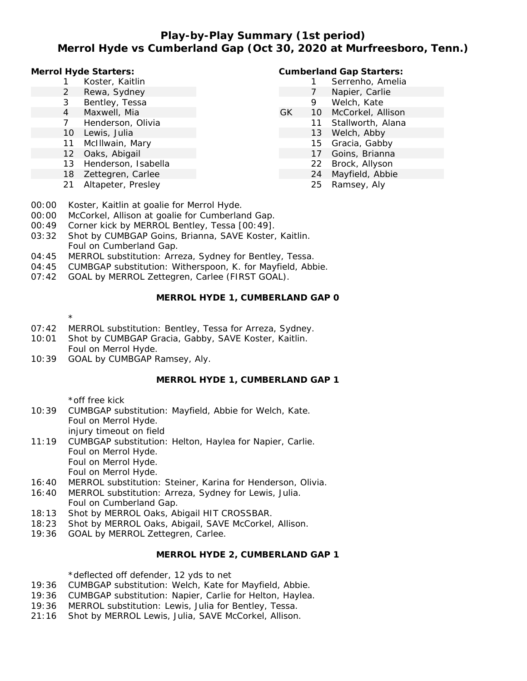# **Play-by-Play Summary (1st period) Merrol Hyde vs Cumberland Gap (Oct 30, 2020 at Murfreesboro, Tenn.)**

**Merrol Hyde Starters:**

- 1 Koster, Kaitlin
- 2 Rewa, Sydney
- 3 Bentley, Tessa
- 4 Maxwell, Mia
- 7 Henderson, Olivia
- 10 Lewis, Julia
- 11 McIllwain, Mary
- 12 Oaks, Abigail
- 13 Henderson, Isabella
- 18 Zettegren, Carlee
- 21 Altapeter, Presley

#### **Cumberland Gap Starters:**

- 1 Serrenho, Amelia 7 Napier, Carlie 9 Welch, Kate GK 10 McCorkel, Allison 11 Stallworth, Alana 13 Welch, Abby 15 Gracia, Gabby 17 Goins, Brianna
	- 22 Brock, Allyson
		- 24 Mayfield, Abbie
			- 25 Ramsey, Aly
- 00:00 Koster, Kaitlin at goalie for Merrol Hyde.
- 00:00 McCorkel, Allison at goalie for Cumberland Gap.
- 00:49 Corner kick by MERROL Bentley, Tessa [00:49].
- 03:32 Shot by CUMBGAP Goins, Brianna, SAVE Koster, Kaitlin. Foul on Cumberland Gap.
- 04:45 MERROL substitution: Arreza, Sydney for Bentley, Tessa.
- 04:45 CUMBGAP substitution: Witherspoon, K. for Mayfield, Abbie.
- 07:42 GOAL by MERROL Zettegren, Carlee (FIRST GOAL).

**MERROL HYDE 1, CUMBERLAND GAP 0**

\*

- 07:42 MERROL substitution: Bentley, Tessa for Arreza, Sydney.
- 10:01 Shot by CUMBGAP Gracia, Gabby, SAVE Koster, Kaitlin. Foul on Merrol Hyde.
- 10:39 GOAL by CUMBGAP Ramsey, Aly.

### **MERROL HYDE 1, CUMBERLAND GAP 1**

\*off free kick

- 10:39 CUMBGAP substitution: Mayfield, Abbie for Welch, Kate. Foul on Merrol Hyde. injury timeout on field 11:19 CUMBGAP substitution: Helton, Haylea for Napier, Carlie.
- Foul on Merrol Hyde. Foul on Merrol Hyde. Foul on Merrol Hyde.
- 16:40 MERROL substitution: Steiner, Karina for Henderson, Olivia.
- 16:40 MERROL substitution: Arreza, Sydney for Lewis, Julia. Foul on Cumberland Gap.
- 18:13 Shot by MERROL Oaks, Abigail HIT CROSSBAR.
- 18:23 Shot by MERROL Oaks, Abigail, SAVE McCorkel, Allison.
- 19:36 GOAL by MERROL Zettegren, Carlee.

#### **MERROL HYDE 2, CUMBERLAND GAP 1**

\*deflected off defender, 12 yds to net

- 19:36 CUMBGAP substitution: Welch, Kate for Mayfield, Abbie.
- 19:36 CUMBGAP substitution: Napier, Carlie for Helton, Haylea.
- 19:36 MERROL substitution: Lewis, Julia for Bentley, Tessa.
- 21:16 Shot by MERROL Lewis, Julia, SAVE McCorkel, Allison.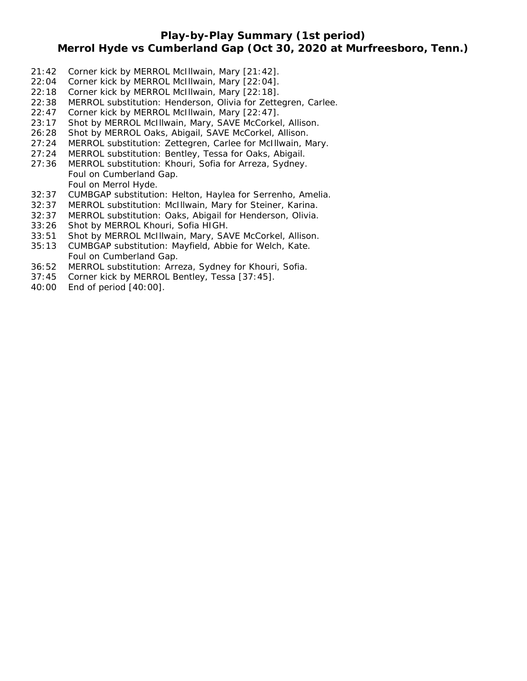# **Play-by-Play Summary (1st period)**

## **Merrol Hyde vs Cumberland Gap (Oct 30, 2020 at Murfreesboro, Tenn.)**

- 21:42 Corner kick by MERROL McIllwain, Mary [21:42].
- 22:04 Corner kick by MERROL McIllwain, Mary [22:04].
- 22:18 Corner kick by MERROL McIllwain, Mary [22:18].
- 22:38 MERROL substitution: Henderson, Olivia for Zettegren, Carlee.
- 22:47 Corner kick by MERROL McIllwain, Mary [22:47].
- 23:17 Shot by MERROL McIllwain, Mary, SAVE McCorkel, Allison.
- 26:28 Shot by MERROL Oaks, Abigail, SAVE McCorkel, Allison.
- 27:24 MERROL substitution: Zettegren, Carlee for McIllwain, Mary.
- 27:24 MERROL substitution: Bentley, Tessa for Oaks, Abigail.
- 27:36 MERROL substitution: Khouri, Sofia for Arreza, Sydney. Foul on Cumberland Gap. Foul on Merrol Hyde.
- 32:37 CUMBGAP substitution: Helton, Haylea for Serrenho, Amelia.
- 32:37 MERROL substitution: McIllwain, Mary for Steiner, Karina.
- 32:37 MERROL substitution: Oaks, Abigail for Henderson, Olivia.
- 33:26 Shot by MERROL Khouri, Sofia HIGH.
- 33:51 Shot by MERROL McIllwain, Mary, SAVE McCorkel, Allison.
- 35:13 CUMBGAP substitution: Mayfield, Abbie for Welch, Kate. Foul on Cumberland Gap.
- 36:52 MERROL substitution: Arreza, Sydney for Khouri, Sofia.
- 37:45 Corner kick by MERROL Bentley, Tessa [37:45].
- 40:00 End of period [40:00].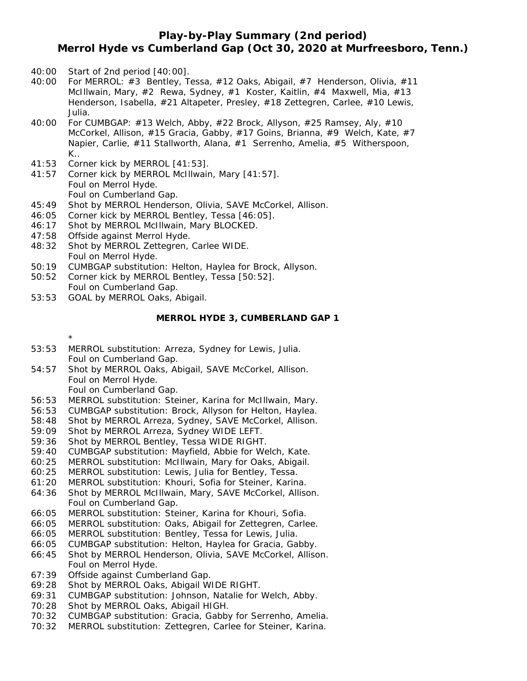## **Play-by-Play Summary (2nd period) Merrol Hyde vs Cumberland Gap (Oct 30, 2020 at Murfreesboro, Tenn.)**

- 40:00 Start of 2nd period [40:00].
- 40:00 For MERROL: #3 Bentley, Tessa, #12 Oaks, Abigail, #7 Henderson, Olivia, #11 McIllwain, Mary,  $\#2$  Rewa, Sydney,  $\#1$  Koster, Kaitlin,  $\#4$  Maxwell, Mia,  $\#13$ Henderson, Isabella, #21 Altapeter, Presley, #18 Zettegren, Carlee, #10 Lewis, Julia.
- 40:00 For CUMBGAP: #13 Welch, Abby, #22 Brock, Allyson, #25 Ramsey, Aly, #10 McCorkel, Allison, #15 Gracia, Gabby, #17 Goins, Brianna, #9 Welch, Kate, #7 Napier, Carlie, #11 Stallworth, Alana, #1 Serrenho, Amelia, #5 Witherspoon, K..
- 41:53 Corner kick by MERROL [41:53].
- 41:57 Corner kick by MERROL McIllwain, Mary [41:57]. Foul on Merrol Hyde. Foul on Cumberland Gap.
- 45:49 Shot by MERROL Henderson, Olivia, SAVE McCorkel, Allison.
- 46:05 Corner kick by MERROL Bentley, Tessa [46:05].
- 46:17 Shot by MERROL McIllwain, Mary BLOCKED.
- 47:58 Offside against Merrol Hyde.
- 48:32 Shot by MERROL Zettegren, Carlee WIDE. Foul on Merrol Hyde.
- 50:19 CUMBGAP substitution: Helton, Haylea for Brock, Allyson.
- 50:52 Corner kick by MERROL Bentley, Tessa [50:52]. Foul on Cumberland Gap.
- 53:53 GOAL by MERROL Oaks, Abigail.

### **MERROL HYDE 3, CUMBERLAND GAP 1**

\*

- 53:53 MERROL substitution: Arreza, Sydney for Lewis, Julia. Foul on Cumberland Gap.
- 54:57 Shot by MERROL Oaks, Abigail, SAVE McCorkel, Allison. Foul on Merrol Hyde.
	- Foul on Cumberland Gap.
- 56:53 MERROL substitution: Steiner, Karina for McIllwain, Mary.
- 56:53 CUMBGAP substitution: Brock, Allyson for Helton, Haylea.
- 58:48 Shot by MERROL Arreza, Sydney, SAVE McCorkel, Allison.
- 59:09 Shot by MERROL Arreza, Sydney WIDE LEFT.
- 59:36 Shot by MERROL Bentley, Tessa WIDE RIGHT.
- 59:40 CUMBGAP substitution: Mayfield, Abbie for Welch, Kate.
- 60:25 MERROL substitution: McIllwain, Mary for Oaks, Abigail.
- 60:25 MERROL substitution: Lewis, Julia for Bentley, Tessa.
- 61:20 MERROL substitution: Khouri, Sofia for Steiner, Karina.
- 64:36 Shot by MERROL McIllwain, Mary, SAVE McCorkel, Allison. Foul on Cumberland Gap.
- 66:05 MERROL substitution: Steiner, Karina for Khouri, Sofia.
- 66:05 MERROL substitution: Oaks, Abigail for Zettegren, Carlee.
- 66:05 MERROL substitution: Bentley, Tessa for Lewis, Julia.
- 66:05 CUMBGAP substitution: Helton, Haylea for Gracia, Gabby.
- 66:45 Shot by MERROL Henderson, Olivia, SAVE McCorkel, Allison. Foul on Merrol Hyde.
- 67:39 Offside against Cumberland Gap.
- 69:28 Shot by MERROL Oaks, Abigail WIDE RIGHT.
- 69:31 CUMBGAP substitution: Johnson, Natalie for Welch, Abby.
- 70:28 Shot by MERROL Oaks, Abigail HIGH.
- 70:32 CUMBGAP substitution: Gracia, Gabby for Serrenho, Amelia.
- 70:32 MERROL substitution: Zettegren, Carlee for Steiner, Karina.